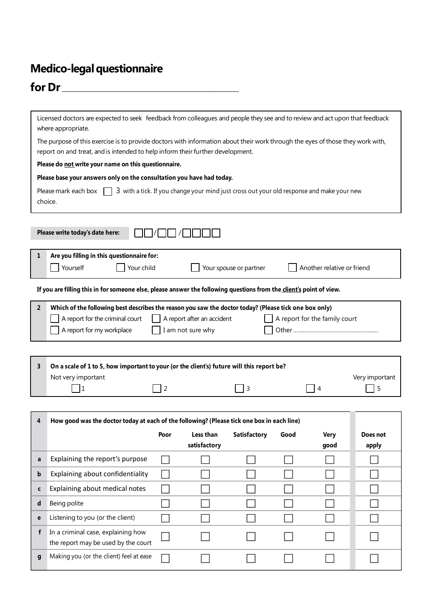## **Medico-legal questionnaire**

**g** Making you (or the client) feel at ease

 $\Box$ 

 $\Box$ 

 $\Box$ 

 $\Box$ 

 $\Box$ 

 $\Box$ 

## **for Dr** \_\_\_\_\_\_\_\_\_\_\_\_\_\_\_\_\_\_\_\_\_\_\_\_\_\_\_\_\_\_\_\_\_\_\_\_\_\_\_\_\_\_\_\_\_\_\_\_\_\_\_\_\_\_\_\_

| Licensed doctors are expected to seek feedback from colleagues and people they see and to review and act upon that feedback<br>where appropriate. |                                                                                                                                                                                                                                                           |                |                                  |  |  |             |                |  |
|---------------------------------------------------------------------------------------------------------------------------------------------------|-----------------------------------------------------------------------------------------------------------------------------------------------------------------------------------------------------------------------------------------------------------|----------------|----------------------------------|--|--|-------------|----------------|--|
|                                                                                                                                                   | The purpose of this exercise is to provide doctors with information about their work through the eyes of those they work with,<br>report on and treat, and is intended to help inform their further development.                                          |                |                                  |  |  |             |                |  |
|                                                                                                                                                   | Please do not write your name on this questionnaire.                                                                                                                                                                                                      |                |                                  |  |  |             |                |  |
|                                                                                                                                                   | Please base your answers only on the consultation you have had today.                                                                                                                                                                                     |                |                                  |  |  |             |                |  |
|                                                                                                                                                   | Please mark each box $\Box$ 3 with a tick. If you change your mind just cross out your old response and make your new<br>choice.                                                                                                                          |                |                                  |  |  |             |                |  |
|                                                                                                                                                   | Please write today's date here:                                                                                                                                                                                                                           |                |                                  |  |  |             |                |  |
| 1                                                                                                                                                 | Are you filling in this questionnaire for:<br>Yourself<br>Your child<br>Another relative or friend<br>Your spouse or partner                                                                                                                              |                |                                  |  |  |             |                |  |
|                                                                                                                                                   | If you are filling this in for someone else, please answer the following questions from the client's point of view.                                                                                                                                       |                |                                  |  |  |             |                |  |
| $\overline{2}$                                                                                                                                    | Which of the following best describes the reason you saw the doctor today? (Please tick one box only)<br>A report for the criminal court<br>A report after an accident<br>A report for the family court<br>A report for my workplace<br>I am not sure why |                |                                  |  |  |             |                |  |
|                                                                                                                                                   |                                                                                                                                                                                                                                                           |                |                                  |  |  |             |                |  |
| 3                                                                                                                                                 | On a scale of 1 to 5, how important to your (or the client's) future will this report be?<br>Not very important                                                                                                                                           |                |                                  |  |  |             | Very important |  |
|                                                                                                                                                   | 1                                                                                                                                                                                                                                                         | $\overline{2}$ | 3                                |  |  | 4           | 5              |  |
|                                                                                                                                                   |                                                                                                                                                                                                                                                           |                |                                  |  |  |             |                |  |
| 4                                                                                                                                                 | How good was the doctor today at each of the following? (Please tick one box in each line)                                                                                                                                                                |                |                                  |  |  |             |                |  |
|                                                                                                                                                   |                                                                                                                                                                                                                                                           |                | Poor Less than Satisfactory Good |  |  | <b>Very</b> | Does not       |  |
|                                                                                                                                                   |                                                                                                                                                                                                                                                           |                | satisfactory                     |  |  | good        | apply          |  |
| a                                                                                                                                                 | Explaining the report's purpose                                                                                                                                                                                                                           |                |                                  |  |  |             |                |  |
| b                                                                                                                                                 | Explaining about confidentiality                                                                                                                                                                                                                          |                |                                  |  |  |             |                |  |
| c                                                                                                                                                 | Explaining about medical notes                                                                                                                                                                                                                            |                |                                  |  |  |             |                |  |
| d                                                                                                                                                 | Being polite                                                                                                                                                                                                                                              |                |                                  |  |  |             |                |  |
| е                                                                                                                                                 | Listening to you (or the client)                                                                                                                                                                                                                          |                |                                  |  |  |             |                |  |
| f                                                                                                                                                 | In a criminal case, explaining how<br>the report may be used by the court                                                                                                                                                                                 |                |                                  |  |  |             |                |  |